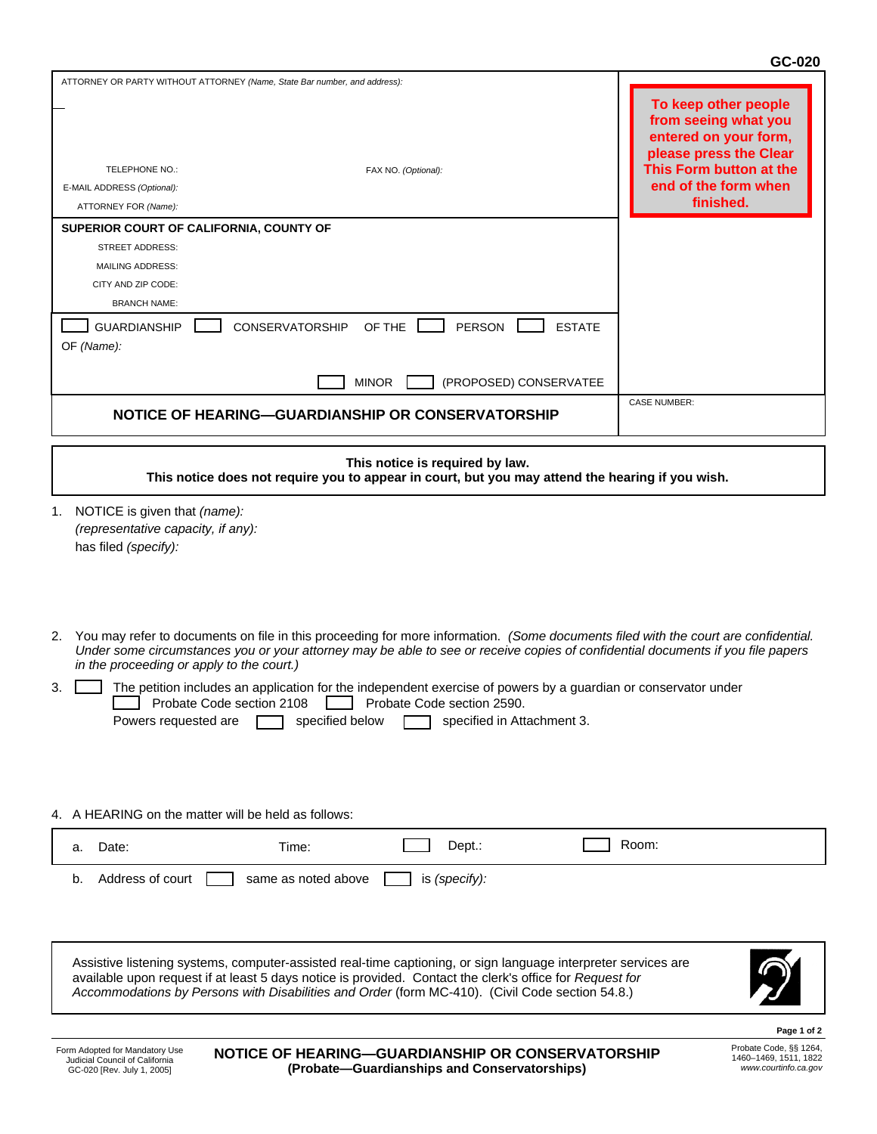## **GC-020**

| ATTORNEY OR PARTY WITHOUT ATTORNEY (Name, State Bar number, and address):<br>TELEPHONE NO.:<br>FAX NO. (Optional):<br>E-MAIL ADDRESS (Optional):<br>ATTORNEY FOR (Name):<br>SUPERIOR COURT OF CALIFORNIA, COUNTY OF<br><b>STREET ADDRESS:</b><br><b>MAILING ADDRESS:</b><br>CITY AND ZIP CODE:<br><b>BRANCH NAME:</b><br><b>GUARDIANSHIP</b><br>OF THE<br><b>PERSON</b><br><b>ESTATE</b><br><b>CONSERVATORSHIP</b><br>OF (Name):                                                                                                                                                   | To keep other people<br>from seeing what you<br>entered on your form,<br>please press the Clear<br>This Form button at the<br>end of the form when<br>finished. |
|------------------------------------------------------------------------------------------------------------------------------------------------------------------------------------------------------------------------------------------------------------------------------------------------------------------------------------------------------------------------------------------------------------------------------------------------------------------------------------------------------------------------------------------------------------------------------------|-----------------------------------------------------------------------------------------------------------------------------------------------------------------|
| <b>MINOR</b><br>(PROPOSED) CONSERVATEE                                                                                                                                                                                                                                                                                                                                                                                                                                                                                                                                             | <b>CASE NUMBER:</b>                                                                                                                                             |
| NOTICE OF HEARING—GUARDIANSHIP OR CONSERVATORSHIP                                                                                                                                                                                                                                                                                                                                                                                                                                                                                                                                  |                                                                                                                                                                 |
| This notice is required by law.<br>This notice does not require you to appear in court, but you may attend the hearing if you wish.                                                                                                                                                                                                                                                                                                                                                                                                                                                |                                                                                                                                                                 |
| NOTICE is given that (name):<br>1.<br>(representative capacity, if any):<br>has filed (specify):                                                                                                                                                                                                                                                                                                                                                                                                                                                                                   |                                                                                                                                                                 |
| 2. You may refer to documents on file in this proceeding for more information. (Some documents filed with the court are confidential.<br>Under some circumstances you or your attorney may be able to see or receive copies of confidential documents if you file papers<br>in the proceeding or apply to the court.)<br>The petition includes an application for the independent exercise of powers by a guardian or conservator under<br>3.<br>Probate Code section 2108<br>Probate Code section 2590.<br>Powers requested are <u>specified</u> below specified in Attachment 3. |                                                                                                                                                                 |
| 4. A HEARING on the matter will be held as follows:                                                                                                                                                                                                                                                                                                                                                                                                                                                                                                                                |                                                                                                                                                                 |
| Dept.:<br>Date:<br>Time:<br>a.                                                                                                                                                                                                                                                                                                                                                                                                                                                                                                                                                     | Room:                                                                                                                                                           |
| Address of court<br>same as noted above<br>is (specify):<br>b.                                                                                                                                                                                                                                                                                                                                                                                                                                                                                                                     |                                                                                                                                                                 |
| Assistive listening systems, computer-assisted real-time captioning, or sign language interpreter services are<br>available upon request if at least 5 days notice is provided. Contact the clerk's office for Request for<br>Accommodations by Persons with Disabilities and Order (form MC-410). (Civil Code section 54.8.)                                                                                                                                                                                                                                                      |                                                                                                                                                                 |
| Form Adopted for Mandatory Use<br>NOTICE OF HEARING—GUARDIANSHIP OR CONSERVATORSHIP<br>Judicial Council of California                                                                                                                                                                                                                                                                                                                                                                                                                                                              | Page 1 of 2<br>Probate Code, §§ 1264,<br>1460-1469, 1511, 1822                                                                                                  |
| (Probate-Guardianships and Conservatorships)<br>GC-020 [Rev. July 1, 2005]                                                                                                                                                                                                                                                                                                                                                                                                                                                                                                         | www.courtinfo.ca.gov                                                                                                                                            |